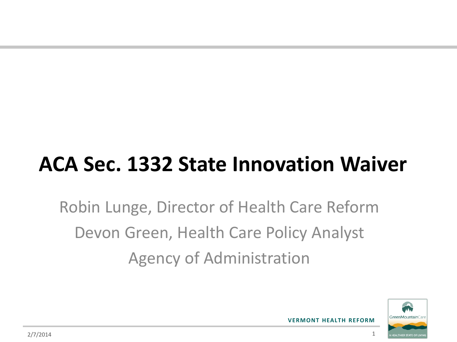# **ACA Sec. 1332 State Innovation Waiver**

Robin Lunge, Director of Health Care Reform Devon Green, Health Care Policy Analyst Agency of Administration

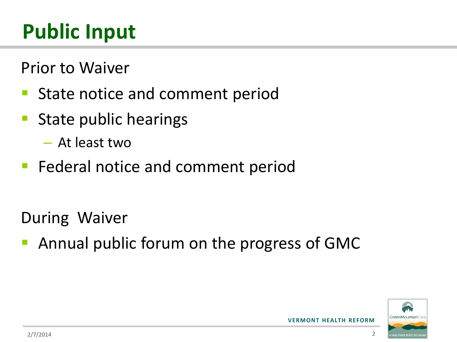# **Public Input**

Prior to Waiver

- State notice and comment period
- **State public hearings** 
	- At least two
- **Federal notice and comment period**

During Waiver

Annual public forum on the progress of GMC

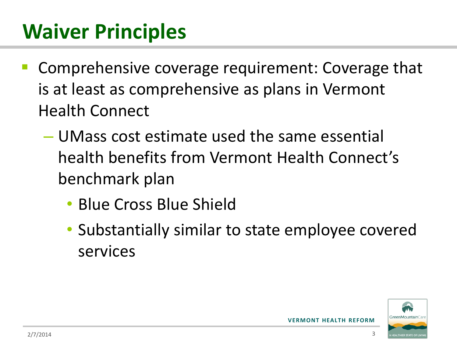- Comprehensive coverage requirement: Coverage that is at least as comprehensive as plans in Vermont Health Connect
	- UMass cost estimate used the same essential health benefits from Vermont Health Connect's benchmark plan
		- Blue Cross Blue Shield
		- Substantially similar to state employee covered services

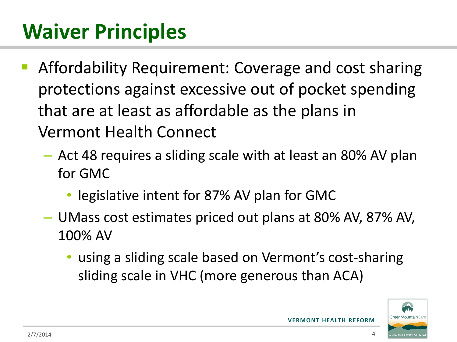- Affordability Requirement: Coverage and cost sharing protections against excessive out of pocket spending that are at least as affordable as the plans in Vermont Health Connect
	- Act 48 requires a sliding scale with at least an 80% AV plan for GMC
		- legislative intent for 87% AV plan for GMC
	- UMass cost estimates priced out plans at 80% AV, 87% AV, 100% AV
		- using a sliding scale based on Vermont's cost-sharing sliding scale in VHC (more generous than ACA)

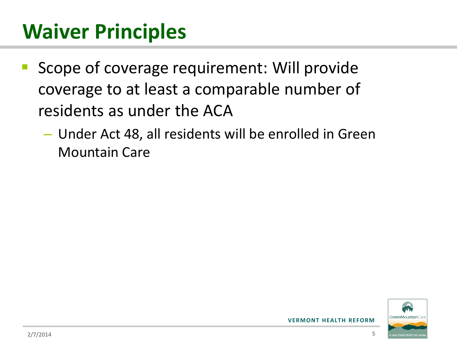- Scope of coverage requirement: Will provide coverage to at least a comparable number of residents as under the ACA
	- Under Act 48, all residents will be enrolled in Green Mountain Care

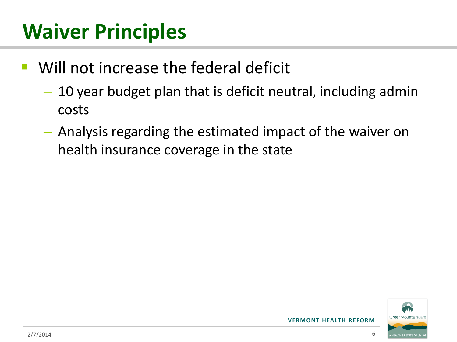- Will not increase the federal deficit
	- 10 year budget plan that is deficit neutral, including admin costs
	- Analysis regarding the estimated impact of the waiver on health insurance coverage in the state

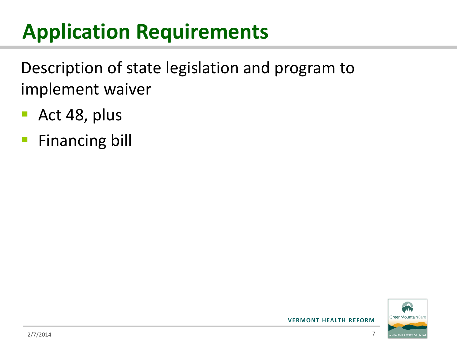Description of state legislation and program to implement waiver

- **Act 48, plus**
- **Financing bill**

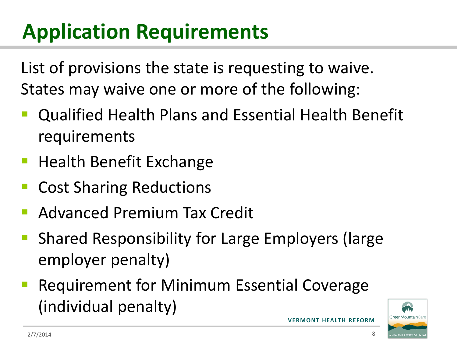List of provisions the state is requesting to waive. States may waive one or more of the following:

- Qualified Health Plans and Essential Health Benefit requirements
- **Health Benefit Exchange**
- Cost Sharing Reductions
- Advanced Premium Tax Credit
- Shared Responsibility for Large Employers (large employer penalty)
- Requirement for Minimum Essential Coverage (individual penalty)

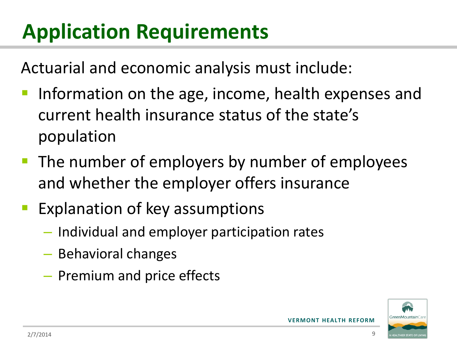Actuarial and economic analysis must include:

- Information on the age, income, health expenses and current health insurance status of the state's population
- **The number of employers by number of employees** and whether the employer offers insurance
- Explanation of key assumptions
	- Individual and employer participation rates
	- Behavioral changes
	- Premium and price effects

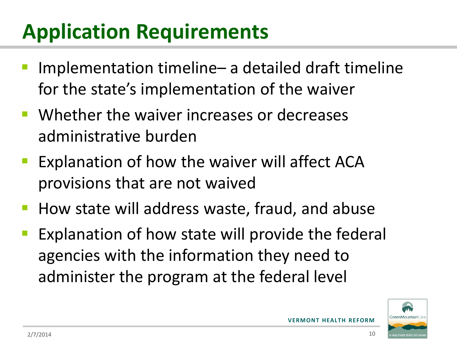- Implementation timeline– a detailed draft timeline for the state's implementation of the waiver
- Whether the waiver increases or decreases administrative burden
- Explanation of how the waiver will affect ACA provisions that are not waived
- **How state will address waste, fraud, and abuse**
- Explanation of how state will provide the federal agencies with the information they need to administer the program at the federal level

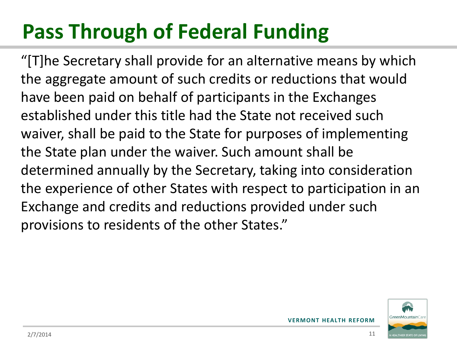# **Pass Through of Federal Funding**

"[T]he Secretary shall provide for an alternative means by which the aggregate amount of such credits or reductions that would have been paid on behalf of participants in the Exchanges established under this title had the State not received such waiver, shall be paid to the State for purposes of implementing the State plan under the waiver. Such amount shall be determined annually by the Secretary, taking into consideration the experience of other States with respect to participation in an Exchange and credits and reductions provided under such provisions to residents of the other States."

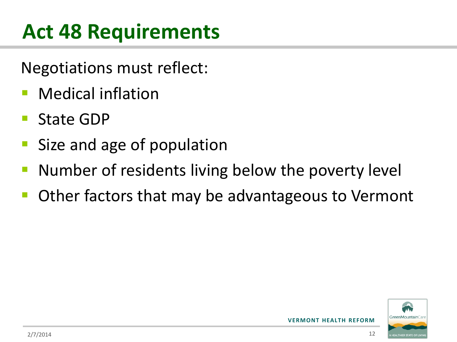# **Act 48 Requirements**

Negotiations must reflect:

- Medical inflation
- State GDP
- Size and age of population
- Number of residents living below the poverty level
- Other factors that may be advantageous to Vermont

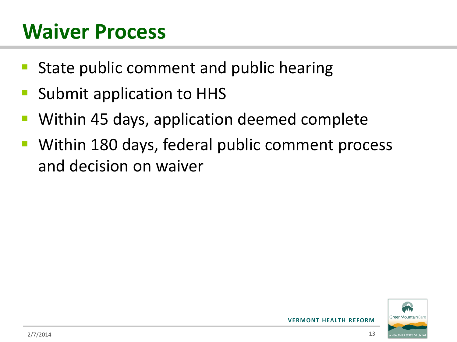#### **Waiver Process**

- State public comment and public hearing
- Submit application to HHS
- Within 45 days, application deemed complete
- Within 180 days, federal public comment process and decision on waiver